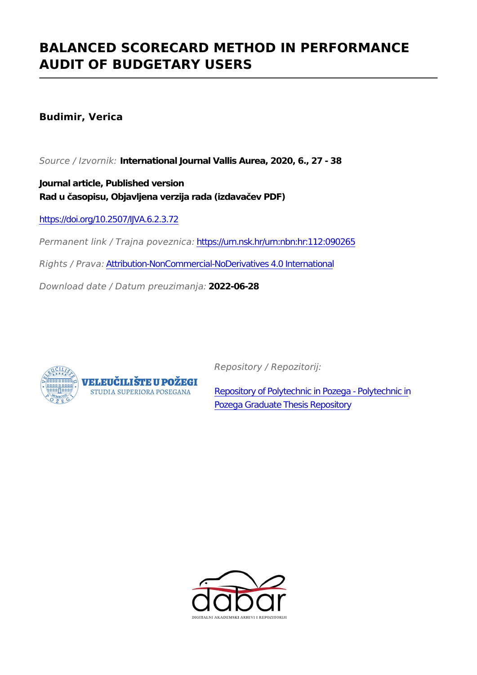### **BALANCED SCORECARD METHOD IN PERFORMANCE AUDIT OF BUDGETARY USERS**

**Budimir, Verica**

*Source / Izvornik:* **International Journal Vallis Aurea, 2020, 6., 27 - 38**

**Journal article, Published version Rad u časopisu, Objavljena verzija rada (izdavačev PDF)**

<https://doi.org/10.2507/IJVA.6.2.3.72>

*Permanent link / Trajna poveznica:* <https://urn.nsk.hr/urn:nbn:hr:112:090265>

*Rights / Prava:* [Attribution-NonCommercial-NoDerivatives 4.0 International](http://creativecommons.org/licenses/by-nc-nd/4.0/)

*Download date / Datum preuzimanja:* **2022-06-28**



*Repository / Repozitorij:*

[Repository of Polytechnic in Pozega - Polytechnic in](https://repozitorij.vup.hr) [Pozega Graduate Thesis Repository](https://repozitorij.vup.hr)

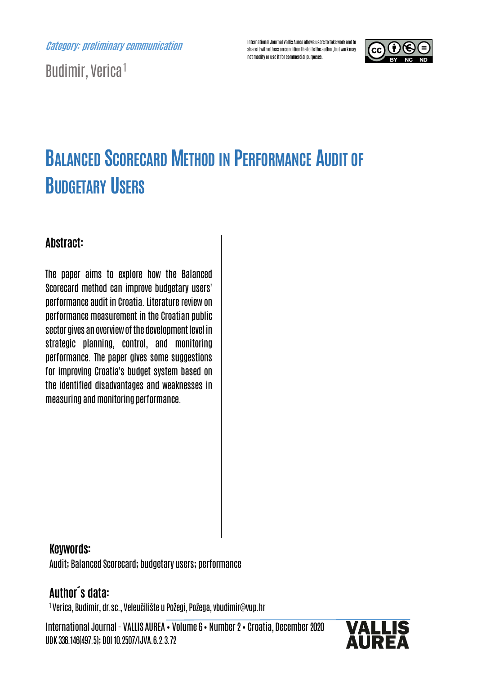Category: preliminary communication

Budimir, Verica<sup>1</sup>

International Journal Vallis Aurea allows users to take work and to share it with others on condition that cite the author, but work may not modify or use it for commercial purposes.



# BALANCED SCORECARD METHOD IN PERFORMANCE AUDIT OF **BUDGETARY USERS**

#### Abstract:

The paper aims to explore how the Balanced Scorecard method can improve budgetary users' performance audit in Croatia. Literature review on performance measurement in the Croatian public sector gives an overview of the development level in strategic planning, control, and monitoring performance. The paper gives some suggestions for improving Croatia's budget system based on the identified disadvantages and weaknesses in measuring and monitoring performance.

#### Keywords:

Audit; Balanced Scorecard; budgetary users; performance

### Author´s data:

1 Verica, Budimir, dr.sc., Veleučilište u Požegi, Požega, vbudimir@vup.hr

International Journal - VALLIS AUREA • Volume 6• Number 2• Croatia, December 2020 UDK 336.146(497.5); DOI 10.2507/IJVA.6.2.3.72

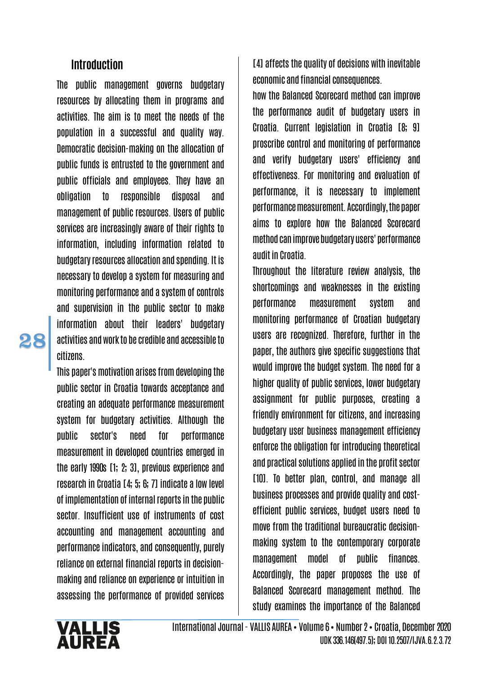#### **Introduction**

The public management governs budgetary resources by allocating them in programs and activities. The aim is to meet the needs of the population in a successful and quality way. Democratic decision-making on the allocation of public funds is entrusted to the government and public officials and employees. They have an obligation to responsible disposal and management of public resources. Users of public services are increasingly aware of their rights to information, including information related to budgetary resources allocation and spending. It is necessary to develop a system for measuring and monitoring performance and a system of controls and supervision in the public sector to make information about their leaders' budgetary activities and work to be credible and accessible to citizens.

This paper's motivation arises from developing the public sector in Croatia towards acceptance and creating an adequate performance measurement system for budgetary activities. Although the public sector's need for performance measurement in developed countries emerged in the early 1990s [1; 2; 3], previous experience and research in Croatia [4; 5; 6; 7] indicate a low level of implementation of internal reports in the public sector. Insufficient use of instruments of cost accounting and management accounting and performance indicators, and consequently, purely reliance on external financial reports in decisionmaking and reliance on experience or intuition in assessing the performance of provided services [4] affects the quality of decisions with inevitable economic and financial consequences.

how the Balanced Scorecard method can improve the performance audit of budgetary users in Croatia. Current legislation in Croatia [8; 9] proscribe control and monitoring of performance and verify budgetary users' efficiency and effectiveness. For monitoring and evaluation of performance, it is necessary to implement performance measurement. Accordingly, the paper aims to explore how the Balanced Scorecard method can improve budgetary users' performance audit in Croatia.

Throughout the literature review analysis, the shortcomings and weaknesses in the existing performance measurement system and monitoring performance of Croatian budgetary users are recognized. Therefore, further in the paper, the authors give specific suggestions that would improve the budget system. The need for a higher quality of public services, lower budgetary assignment for public purposes, creating a friendly environment for citizens, and increasing budgetary user business management efficiency enforce the obligation for introducing theoretical and practical solutions applied in the profit sector [10]. To better plan, control, and manage all business processes and provide quality and costefficient public services, budget users need to move from the traditional bureaucratic decisionmaking system to the contemporary corporate management model of public finances. Accordingly, the paper proposes the use of Balanced Scorecard management method. The study examines the importance of the Balanced

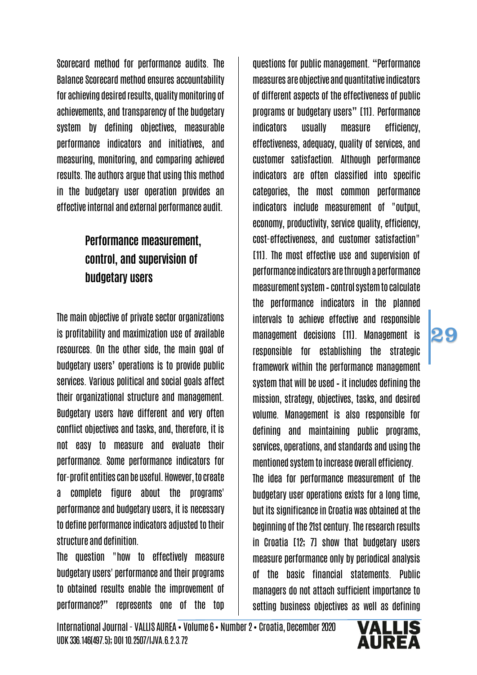Scorecard method for performance audits. The Balance Scorecard method ensures accountability for achieving desired results, quality monitoring of achievements, and transparency of the budgetary system by defining objectives, measurable performance indicators and initiatives, and measuring, monitoring, and comparing achieved results. The authors argue that using this method in the budgetary user operation provides an effective internal and external performance audit.

# Performance measurement, control, and supervision of budgetary users

The main objective of private sector organizations is profitability and maximization use of available resources. On the other side, the main goal of budgetary users' operations is to provide public services. Various political and social goals affect their organizational structure and management. Budgetary users have different and very often conflict objectives and tasks, and, therefore, it is not easy to measure and evaluate their performance. Some performance indicators for for-profit entities can be useful. However, to create a complete figure about the programs' performance and budgetary users, it is necessary to define performance indicators adjusted to their structure and definition.

The question "how to effectively measure budgetary users' performance and their programs to obtained results enable the improvement of performance?" represents one of the top

questions for public management. "Performance measures are objective and quantitative indicators of different aspects of the effectiveness of public programs or budgetary users" [11]. Performance indicators usually measure efficiency, effectiveness, adequacy, quality of services, and customer satisfaction. Although performance indicators are often classified into specific categories, the most common performance indicators include measurement of "output, economy, productivity, service quality, efficiency, cost-effectiveness, and customer satisfaction" [11]. The most effective use and supervision of performance indicators are through a performance measurement system – control system to calculate the performance indicators in the planned intervals to achieve effective and responsible management decisions [11]. Management is responsible for establishing the strategic framework within the performance management system that will be used – it includes defining the mission, strategy, objectives, tasks, and desired volume. Management is also responsible for defining and maintaining public programs, services, operations, and standards and using the mentioned system to increase overall efficiency. The idea for performance measurement of the budgetary user operations exists for a long time, but its significance in Croatia was obtained at the beginning of the 21st century. The research results in Croatia [12; 7] show that budgetary users measure performance only by periodical analysis of the basic financial statements. Public managers do not attach sufficient importance to setting business objectives as well as defining

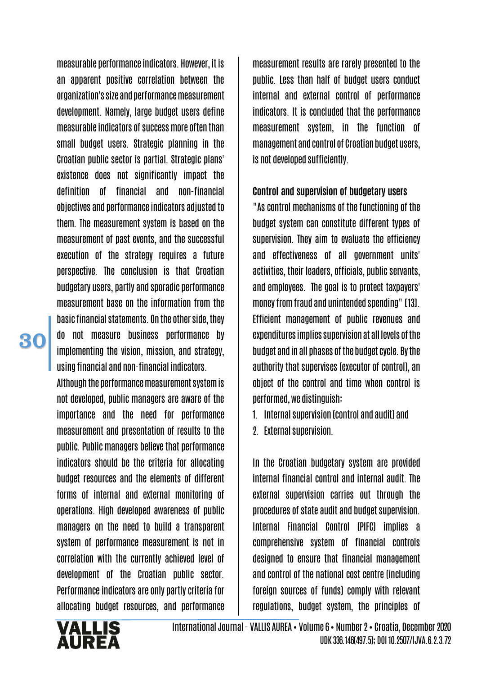measurable performance indicators. However, it is an apparent positive correlation between the organization's size and performance measurement development. Namely, large budget users define measurable indicators of success more often than small budget users. Strategic planning in the Croatian public sector is partial. Strategic plans' existence does not significantly impact the definition of financial and non-financial objectives and performance indicators adjusted to them. The measurement system is based on the measurement of past events, and the successful execution of the strategy requires a future perspective. The conclusion is that Croatian budgetary users, partly and sporadic performance measurement base on the information from the basic financial statements. On the other side, they do not measure business performance by implementing the vision, mission, and strategy, using financial and non-financial indicators.

Although the performance measurement system is not developed, public managers are aware of the importance and the need for performance measurement and presentation of results to the public. Public managers believe that performance indicators should be the criteria for allocating budget resources and the elements of different forms of internal and external monitoring of operations. High developed awareness of public managers on the need to build a transparent system of performance measurement is not in correlation with the currently achieved level of development of the Croatian public sector. Performance indicators are only partly criteria for allocating budget resources, and performance

measurement results are rarely presented to the public. Less than half of budget users conduct internal and external control of performance indicators. It is concluded that the performance measurement system, in the function of management and control of Croatian budget users, is not developed sufficiently.

#### Control and supervision of budgetary users

"As control mechanisms of the functioning of the budget system can constitute different types of supervision. They aim to evaluate the efficiency and effectiveness of all government units' activities, their leaders, officials, public servants, and employees. The goal is to protect taxpayers' money from fraud and unintended spending" [13]. Efficient management of public revenues and expenditures implies supervision at all levels of the budget and in all phases of the budget cycle. By the authority that supervises (executor of control), an object of the control and time when control is performed, we distinguish:

1. Internal supervision (control and audit) and

2. External supervision.

In the Croatian budgetary system are provided internal financial control and internal audit. The external supervision carries out through the procedures of state audit and budget supervision. Internal Financial Control (PIFC) implies a comprehensive system of financial controls designed to ensure that financial management and control of the national cost centre (including foreign sources of funds) comply with relevant regulations, budget system, the principles of

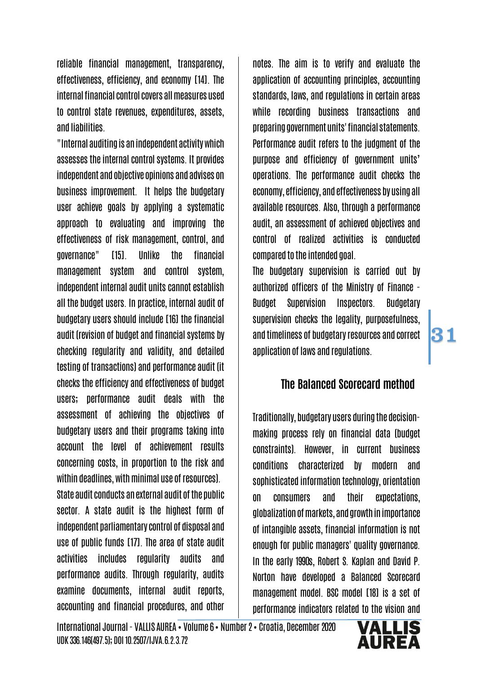reliable financial management, transparency, effectiveness, efficiency, and economy [14]. The internal financial control covers all measures used to control state revenues, expenditures, assets, and liabilities.

"Internal auditing is an independent activity which assesses the internal control systems. It provides independent and objective opinions and advises on business improvement. It helps the budgetary user achieve goals by applying a systematic approach to evaluating and improving the effectiveness of risk management, control, and governance" [15]. Unlike the financial management system and control system, independent internal audit units cannot establish all the budget users. In practice, internal audit of budgetary users should include [16] the financial audit (revision of budget and financial systems by checking regularity and validity, and detailed testing of transactions) and performance audit (it checks the efficiency and effectiveness of budget users; performance audit deals with the assessment of achieving the objectives of budgetary users and their programs taking into account the level of achievement results concerning costs, in proportion to the risk and within deadlines, with minimal use of resources). State audit conducts an external audit of the public sector. A state audit is the highest form of independent parliamentary control of disposal and use of public funds [17]. The area of state audit activities includes regularity audits and performance audits. Through regularity, audits examine documents, internal audit reports, accounting and financial procedures, and other

notes. The aim is to verify and evaluate the application of accounting principles, accounting standards, laws, and regulations in certain areas while recording business transactions and preparing government units' financial statements. Performance audit refers to the judgment of the purpose and efficiency of government units' operations. The performance audit checks the economy, efficiency, and effectiveness by using all available resources. Also, through a performance audit, an assessment of achieved objectives and control of realized activities is conducted compared to the intended goal.

The budgetary supervision is carried out by authorized officers of the Ministry of Finance - Budget Supervision Inspectors. Budgetary supervision checks the legality, purposefulness, and timeliness of budgetary resources and correct application of laws and regulations.

#### The Balanced Scorecard method

31

Traditionally, budgetary users during the decisionmaking process rely on financial data (budget constraints). However, in current business conditions characterized by modern and sophisticated information technology, orientation on consumers and their expectations, globalization of markets, and growth in importance of intangible assets, financial information is not enough for public managers' quality governance. In the early 1990s, Robert S. Kaplan and David P. Norton have developed a Balanced Scorecard management model. BSC model [18] is a set of performance indicators related to the vision and

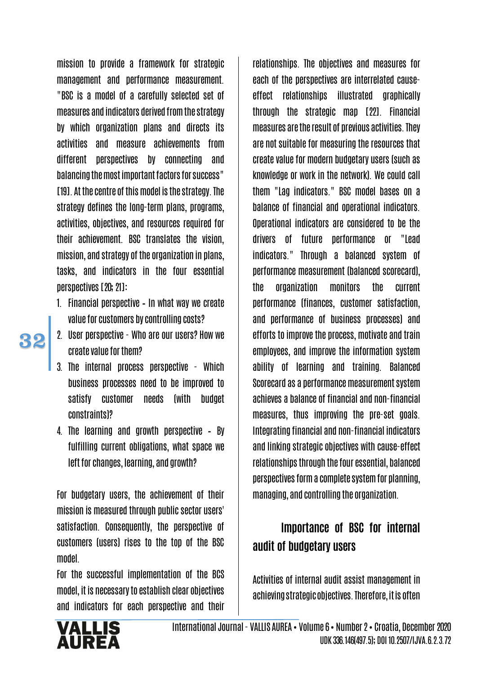mission to provide a framework for strategic management and performance measurement. "BSC is a model of a carefully selected set of measures and indicators derived from the strategy by which organization plans and directs its activities and measure achievements from different perspectives by connecting and balancing the most important factors for success" [19]. At the centre of this model is the strategy. The strategy defines the long-term plans, programs, activities, objectives, and resources required for their achievement. BSC translates the vision, mission, and strategy of the organization in plans, tasks, and indicators in the four essential perspectives [20; 21]:

- 1. Financial perspective In what way we create value for customers by controlling costs?
- 32
- 2. User perspective Who are our users? How we create value for them?
- 3. The internal process perspective Which business processes need to be improved to satisfy customer needs (with budget constraints)?
- 4. The learning and growth perspective By fulfilling current obligations, what space we left for changes, learning, and growth?

For budgetary users, the achievement of their mission is measured through public sector users' satisfaction. Consequently, the perspective of customers (users) rises to the top of the BSC model.

For the successful implementation of the BCS model, it is necessary to establish clear objectives and indicators for each perspective and their

relationships. The objectives and measures for each of the perspectives are interrelated causeeffect relationships illustrated graphically through the strategic map [22]. Financial measures are the result of previous activities. They are not suitable for measuring the resources that create value for modern budgetary users (such as knowledge or work in the network). We could call them "Lag indicators." BSC model bases on a balance of financial and operational indicators. Operational indicators are considered to be the drivers of future performance or "Lead indicators." Through a balanced system of performance measurement (balanced scorecard), the organization monitors the current performance (finances, customer satisfaction, and performance of business processes) and efforts to improve the process, motivate and train employees, and improve the information system ability of learning and training. Balanced Scorecard as a performance measurement system achieves a balance of financial and non-financial measures, thus improving the pre-set goals. Integrating financial and non-financial indicators and linking strategic objectives with cause-effect relationships through the four essential, balanced perspectives form a complete system for planning, managing, and controlling the organization.

## Importance of BSC for internal audit of budgetary users

Activities of internal audit assist management in achieving strategic objectives. Therefore, it is often

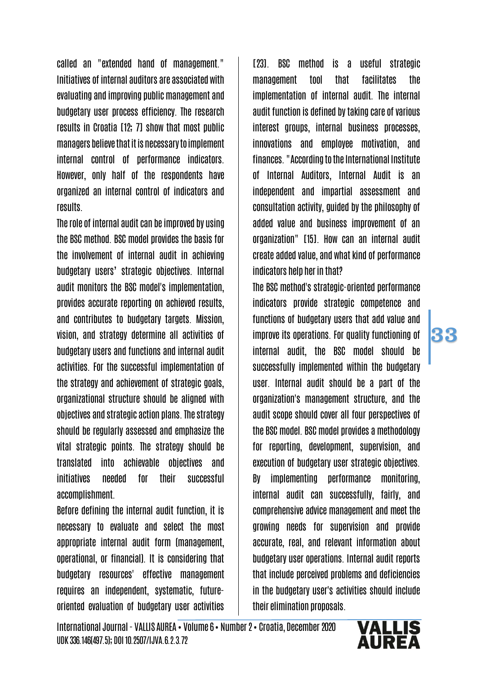called an "extended hand of management." Initiatives of internal auditors are associated with evaluating and improving public management and budgetary user process efficiency. The research results in Croatia [12; 7] show that most public managers believe that it is necessary to implement internal control of performance indicators. However, only half of the respondents have organized an internal control of indicators and results.

The role of internal audit can be improved by using the BSC method. BSC model provides the basis for the involvement of internal audit in achieving budgetary users' strategic objectives. Internal audit monitors the BSC model's implementation, provides accurate reporting on achieved results, and contributes to budgetary targets. Mission, vision, and strategy determine all activities of budgetary users and functions and internal audit activities. For the successful implementation of the strategy and achievement of strategic goals, organizational structure should be aligned with objectives and strategic action plans. The strategy should be regularly assessed and emphasize the vital strategic points. The strategy should be translated into achievable objectives and initiatives needed for their successful accomplishment.

Before defining the internal audit function, it is necessary to evaluate and select the most appropriate internal audit form (management, operational, or financial). It is considering that budgetary resources' effective management requires an independent, systematic, futureoriented evaluation of budgetary user activities

[23]. BSC method is a useful strategic management tool that facilitates the implementation of internal audit. The internal audit function is defined by taking care of various interest groups, internal business processes, innovations and employee motivation, and finances. "According to the International Institute of Internal Auditors, Internal Audit is an independent and impartial assessment and consultation activity, guided by the philosophy of added value and business improvement of an organization" [15]. How can an internal audit create added value, and what kind of performance indicators help her in that?

The BSC method's strategic-oriented performance indicators provide strategic competence and functions of budgetary users that add value and improve its operations. For quality functioning of internal audit, the BSC model should be successfully implemented within the budgetary user. Internal audit should be a part of the organization's management structure, and the audit scope should cover all four perspectives of the BSC model. BSC model provides a methodology for reporting, development, supervision, and execution of budgetary user strategic objectives. By implementing performance monitoring, internal audit can successfully, fairly, and comprehensive advice management and meet the growing needs for supervision and provide accurate, real, and relevant information about budgetary user operations. Internal audit reports that include perceived problems and deficiencies in the budgetary user's activities should include their elimination proposals.

International Journal - VALLIS AUREA • Volume 6• Number 2• Croatia, December 2020 UDK 336.146(497.5); DOI 10.2507/IJVA.6.2.3.72

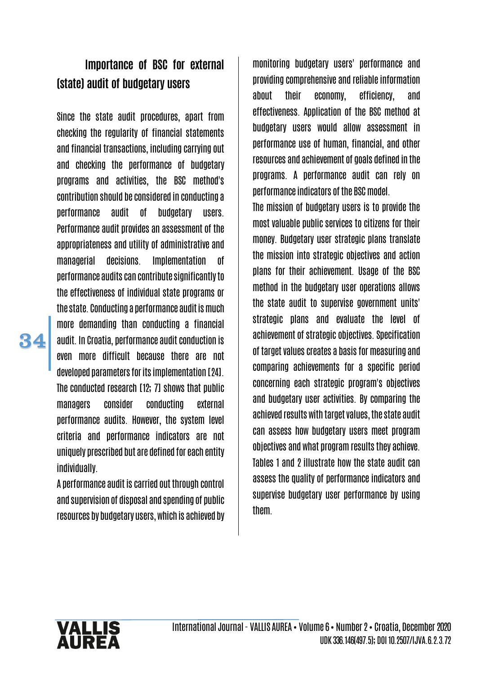### Importance of BSC for external (state) audit of budgetary users

Since the state audit procedures, apart from checking the regularity of financial statements and financial transactions, including carrying out and checking the performance of budgetary programs and activities, the BSC method's contribution should be considered in conducting a performance audit of budgetary users. Performance audit provides an assessment of the appropriateness and utility of administrative and managerial decisions. Implementation of performance audits can contribute significantly to the effectiveness of individual state programs or the state. Conducting a performance audit is much more demanding than conducting a financial audit. In Croatia, performance audit conduction is even more difficult because there are not developed parameters for its implementation [24]. The conducted research [12; 7] shows that public managers consider conducting external performance audits. However, the system level criteria and performance indicators are not uniquely prescribed but are defined for each entity individually.

A performance audit is carried out through control and supervision of disposal and spending of public resources by budgetary users, which is achieved by

monitoring budgetary users' performance and providing comprehensive and reliable information about their economy, efficiency, and effectiveness. Application of the BSC method at budgetary users would allow assessment in performance use of human, financial, and other resources and achievement of goals defined in the programs. A performance audit can rely on performance indicators of the BSC model.

The mission of budgetary users is to provide the most valuable public services to citizens for their money. Budgetary user strategic plans translate the mission into strategic objectives and action plans for their achievement. Usage of the BSC method in the budgetary user operations allows the state audit to supervise government units' strategic plans and evaluate the level of achievement of strategic objectives. Specification of target values creates a basis for measuring and comparing achievements for a specific period concerning each strategic program's objectives and budgetary user activities. By comparing the achieved results with target values, the state audit can assess how budgetary users meet program objectives and what program results they achieve. Tables 1 and 2 illustrate how the state audit can assess the quality of performance indicators and supervise budgetary user performance by using them.

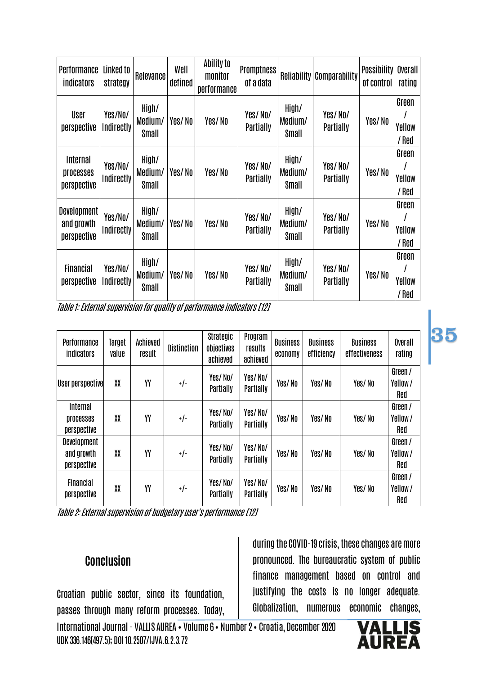| Performance<br><b>indicators</b>                | Linked to<br>strategy        | Relevance                 | Well<br>defined | Ability to<br>monitor<br>performance | <b>Promptness</b><br>of a data |                           | <b>Reliability Comparability</b> | <b>Possibility</b><br>of control | Overall<br>rating        |
|-------------------------------------------------|------------------------------|---------------------------|-----------------|--------------------------------------|--------------------------------|---------------------------|----------------------------------|----------------------------------|--------------------------|
| User<br>perspective                             | Yes/No/<br>Indirectly        | High/<br>Medium/<br>Small | Yes/No          | Yes/No                               | Yes/No/<br>Partially           | High/<br>Medium/<br>Small | Yes/No/<br>Partially             | Yes/No                           | Green<br>Yellow<br>/ Red |
| Internal<br>processes<br>perspective            | Yes/No/<br>Indirectly        | High/<br>Medium/<br>Small | Yes/No          | Yes/No                               | Yes/No/<br>Partially           | High/<br>Medium/<br>Small | Yes/No/<br>Partially             | Yes/No                           | Green<br>Yellow<br>/ Red |
| <b>Development</b><br>and growth<br>perspective | Yes/No/<br>Indirectly        | High/<br>Medium/<br>Small | Yes/No          | Yes/No                               | Yes/No/<br>Partially           | High/<br>Medium/<br>Small | Yes/No/<br><b>Partially</b>      | Yes/No                           | Green<br>Yellow<br>/ Red |
| <b>Financial</b><br>perspective                 | Yes/No/<br><b>Indirectly</b> | High/<br>Medium/<br>Small | Yes/No          | Yes/No                               | Yes/No/<br>Partially           | High/<br>Medium/<br>Small | Yes/No/<br>Partially             | Yes/No                           | Green<br>Yellow<br>/ Red |

Table 1: External supervision for quality of performance indicators [12]

| Performance<br><b>indicators</b>         | Target<br>value | Achieved<br>result | <b>Distinction</b> | Strategic<br>objectives<br>achieved | Program<br>results<br>achieved | <b>Business</b><br>economy | <b>Business</b><br>efficiency | <b>Business</b><br>effectiveness | Overall<br>rating         |
|------------------------------------------|-----------------|--------------------|--------------------|-------------------------------------|--------------------------------|----------------------------|-------------------------------|----------------------------------|---------------------------|
| User perspective                         | XX              | YY                 | $+/-$              | Yes/No/<br>Partially                | Yes/No/<br>Partially           | Yes/No                     | Yes/No                        | Yes/No                           | Green /<br>Yellow/<br>Red |
| Internal<br>processes<br>perspective     | XX              | YY                 | $+/-$              | Yes/No/<br>Partially                | Yes/No/<br>Partially           | Yes/No                     | Yes/No                        | Yes/No                           | Green /<br>Yellow/<br>Red |
| Development<br>and growth<br>perspective | XX              | YY                 | $+/-$              | Yes/No/<br>Partially                | Yes/No/<br>Partially           | Yes/No                     | Yes/No                        | Yes/No                           | Green /<br>Yellow/<br>Red |
| <b>Financial</b><br>perspective          | XX              | YY                 | $+/-$              | Yes/No/<br>Partially                | Yes/No/<br>Partially           | Yes/No                     | Yes/No                        | Yes/No                           | Green /<br>Yellow/<br>Red |

Table 2: External supervision of budgetary user's performance [12]

#### **Conclusion**

Croatian public sector, since its foundation, passes through many reform processes. Today, during the COVID-19 crisis, these changes are more pronounced. The bureaucratic system of public finance management based on control and justifying the costs is no longer adequate. Globalization, numerous economic changes,

International Journal - VALLIS AUREA • Volume 6• Number 2• Croatia, December 2020 UDK 336.146(497.5); DOI 10.2507/IJVA.6.2.3.72

#### **VALI** AUREA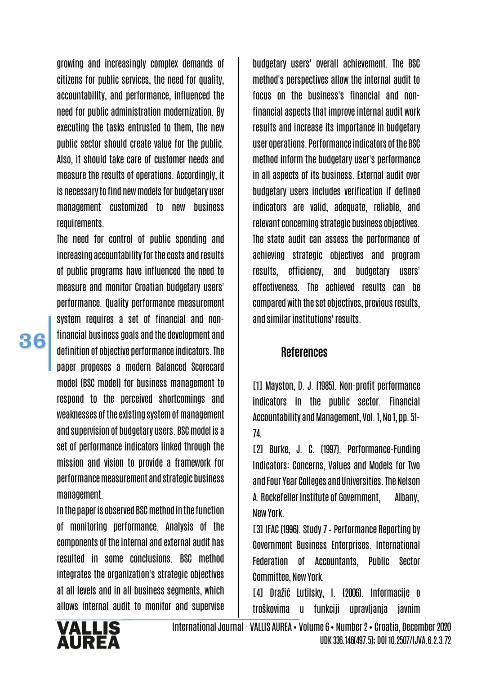growing and increasingly complex demands of citizens for public services, the need for quality, accountability, and performance, influenced the need for public administration modernization. By executing the tasks entrusted to them, the new public sector should create value for the public. Also, it should take care of customer needs and measure the results of operations. Accordingly, it is necessary to find new models for budgetary user management customized to new business requirements.

The need for control of public spending and increasing accountability for the costs and results of public programs have influenced the need to measure and monitor Croatian budgetary users' performance. Quality performance measurement system requires a set of financial and nonfinancial business goals and the development and definition of objective performance indicators. The paper proposes a modern Balanced Scorecard model (BSC model) for business management to respond to the perceived shortcomings and weaknesses of the existing system of management and supervision of budgetary users. BSC model is a set of performance indicators linked through the mission and vision to provide a framework for performance measurement and strategic business management.

In the paper is observed BSC method in the function of monitoring performance. Analysis of the components of the internal and external audit has resulted in some conclusions. BSC method integrates the organization's strategic objectives at all levels and in all business segments, which allows internal audit to monitor and supervise

budgetary users' overall achievement. The BSC method's perspectives allow the internal audit to focus on the business's financial and nonfinancial aspects that improve internal audit work results and increase its importance in budgetary user operations. Performance indicators of the BSC method inform the budgetary user's performance in all aspects of its business. External audit over budgetary users includes verification if defined indicators are valid, adequate, reliable, and relevant concerning strategic business objectives. The state audit can assess the performance of achieving strategic objectives and program results, efficiency, and budgetary users' effectiveness. The achieved results can be compared with the set objectives, previous results, and similar institutions' results.

#### References

[1] Mayston, D. J. (1985). Non-profit performance indicators in the public sector. Financial Accountability and Management, Vol. 1, No 1, pp. 51-74.

[2] Burke, J. C. (1997). Performance-Funding Indicators: Concerns, Values and Models for Two and Four Year Colleges and Universities. The Nelson A. Rockefeller Institute of Government, Albany, New York.

[3] IFAC (1996). Study 7 – Performance Reporting by Government Business Enterprises. International Federation of Accountants, Public Sector Committee, New York.

[4] Dražić Lutilsky, I. (2006). Informacije o troškovima u funkciji upravljanja javnim

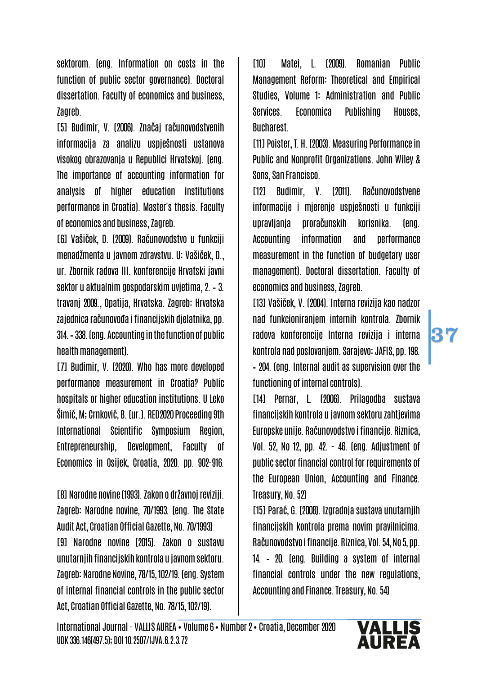sektorom. (eng. Information on costs in the function of public sector governance). Doctoral dissertation. Faculty of economics and business, Zagreb.

[5] Budimir, V. (2006). Značaj računovodstvenih informacija za analizu uspješnosti ustanova visokog obrazovanja u Republici Hrvatskoj. (eng. The importance of accounting information for analysis of higher education institutions performance in Croatia). Master's thesis. Faculty of economics and business, Zagreb.

[6] Vašiček, D. (2009). Računovodstvo u funkciji menadžmenta u javnom zdravstvu. U: Vašiček, D., ur. Zbornik radova III. konferencije Hrvatski javni sektor u aktualnim gospodarskim uvjetima, 2. – 3. travanj 2009., Opatija, Hrvatska. Zagreb: Hrvatska zajednica računovođa i financijskih djelatnika, pp. 314. – 338. (eng. Accounting in the function of public health management).

[7] Budimir, V. (2020). Who has more developed performance measurement in Croatia? Public hospitals or higher education institutions. U Leko Šimić, M; Crnković, B. (ur.). RED2020 Proceeding 9th International Scientific Symposium Region, Entrepreneurship, Development, Faculty of Economics in Osijek, Croatia, 2020. pp. 902-916.

[8] Narodne novine (1993). Zakon o državnoj reviziji. Zagreb: Narodne novine, 70/1993. (eng. The State Audit Act, Croatian Official Gazette, No. 70/1993) [9] Narodne novine (2015). Zakon o sustavu unutarnjih financijskih kontrola u javnom sektoru. Zagreb: Narodne Novine, 78/15, 102/19. (eng. System of internal financial controls in the public sector Act, Croatian Official Gazette, No. 78/15, 102/19).

[10] Matei, L. (2009). Romanian Public Management Reform: Theoretical and Empirical Studies, Volume 1: Administration and Public Services. Economica Publishing Houses, Bucharest.

[11] Poister, T. H. (2003). Measuring Performance in Public and Nonprofit Organizations. John Wiley & Sons, San Francisco.

[12] Budimir, V. (2011). Računovodstvene informacije i mjerenje uspješnosti u funkciji upravljanja proračunskih korisnika. (eng. Accounting information and performance measurement in the function of budgetary user management). Doctoral dissertation. Faculty of economics and business, Zagreb.

[13] Vašiček, V. (2004). Interna revizija kao nadzor nad funkcioniranjem internih kontrola. Zbornik radova konferencije Interna revizija i interna kontrola nad poslovanjem. Sarajevo: JAFIS, pp. 198. – 204. (eng. Internal audit as supervision over the functioning of internal controls).

37

[14] Pernar, L. (2006). Prilagodba sustava financijskih kontrola u javnom sektoru zahtjevima Europske unije. Računovodstvo i financije. Riznica, Vol. 52, No 12, pp. 42. - 46. (eng. Adjustment of public sector financial control for requirements of the European Union, Accounting and Finance. Treasury, No. 52)

[15] Parać, G. (2008). Izgradnja sustava unutarnjih financijskih kontrola prema novim pravilnicima. Računovodstvo i financije. Riznica, Vol. 54, No 5, pp. 14. – 20. (eng. Building a system of internal financial controls under the new regulations, Accounting and Finance. Treasury, No. 54)

International Journal - VALLIS AUREA • Volume 6• Number 2• Croatia, December 2020 UDK 336.146(497.5); DOI 10.2507/IJVA.6.2.3.72